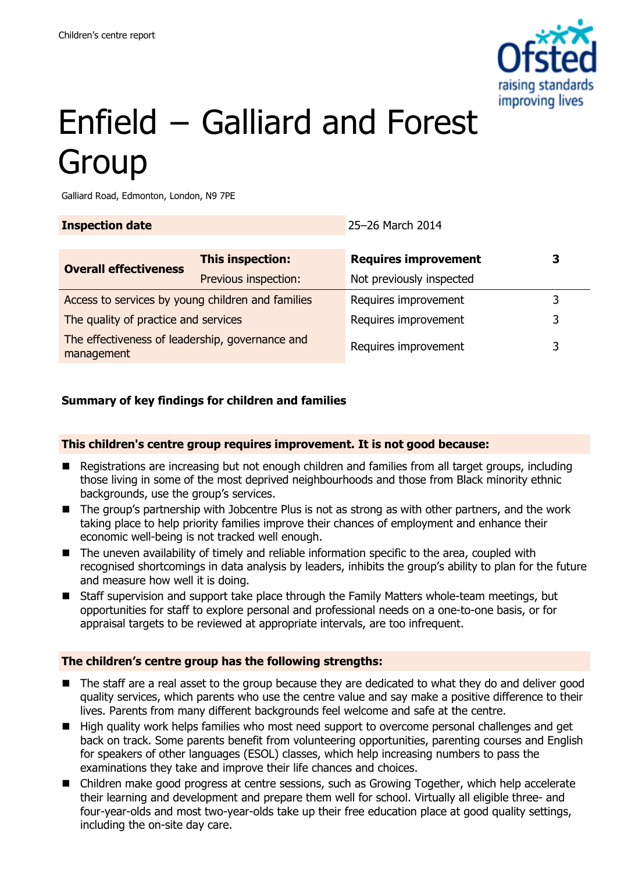

# Enfield − Galliard and Forest Group

Galliard Road, Edmonton, London, N9 7PE

| <b>Inspection date</b>                                        |                      | 25-26 March 2014            |   |
|---------------------------------------------------------------|----------------------|-----------------------------|---|
|                                                               |                      |                             |   |
| <b>Overall effectiveness</b>                                  | This inspection:     | <b>Requires improvement</b> | 3 |
|                                                               | Previous inspection: | Not previously inspected    |   |
| Access to services by young children and families             |                      | Requires improvement        | 3 |
| The quality of practice and services                          |                      | Requires improvement        | 3 |
| The effectiveness of leadership, governance and<br>management |                      | Requires improvement        | 3 |

## **Summary of key findings for children and families**

#### **This children's centre group requires improvement. It is not good because:**

- Registrations are increasing but not enough children and families from all target groups, including those living in some of the most deprived neighbourhoods and those from Black minority ethnic backgrounds, use the group's services.
- The group's partnership with Jobcentre Plus is not as strong as with other partners, and the work taking place to help priority families improve their chances of employment and enhance their economic well-being is not tracked well enough.
- The uneven availability of timely and reliable information specific to the area, coupled with recognised shortcomings in data analysis by leaders, inhibits the group's ability to plan for the future and measure how well it is doing.
- Staff supervision and support take place through the Family Matters whole-team meetings, but opportunities for staff to explore personal and professional needs on a one-to-one basis, or for appraisal targets to be reviewed at appropriate intervals, are too infrequent.

#### **The children's centre group has the following strengths:**

- The staff are a real asset to the group because they are dedicated to what they do and deliver good quality services, which parents who use the centre value and say make a positive difference to their lives. Parents from many different backgrounds feel welcome and safe at the centre.
- **High quality work helps families who most need support to overcome personal challenges and get** back on track. Some parents benefit from volunteering opportunities, parenting courses and English for speakers of other languages (ESOL) classes, which help increasing numbers to pass the examinations they take and improve their life chances and choices.
- Children make good progress at centre sessions, such as Growing Together, which help accelerate their learning and development and prepare them well for school. Virtually all eligible three- and four-year-olds and most two-year-olds take up their free education place at good quality settings, including the on-site day care.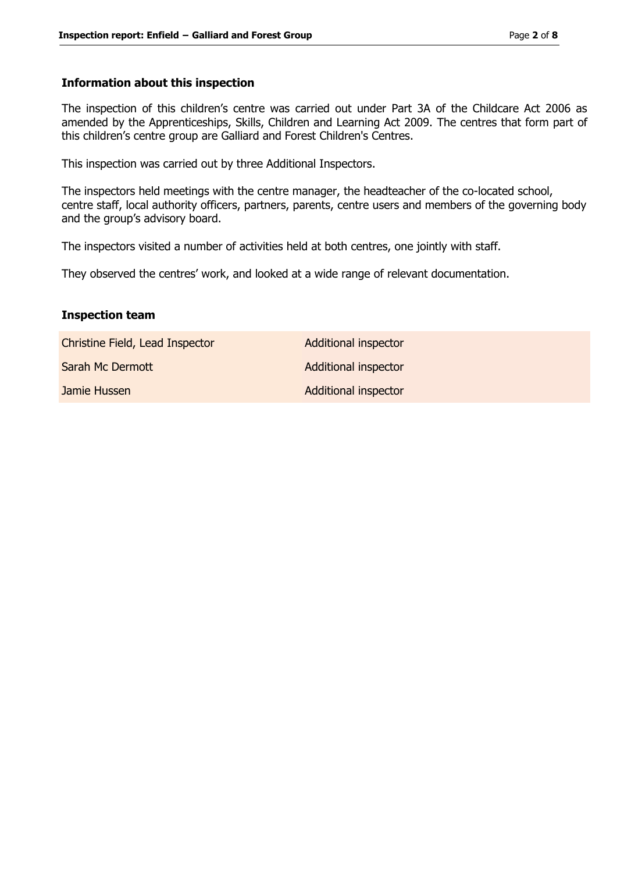#### **Information about this inspection**

The inspection of this children's centre was carried out under Part 3A of the Childcare Act 2006 as amended by the Apprenticeships, Skills, Children and Learning Act 2009. The centres that form part of this children's centre group are Galliard and Forest Children's Centres.

This inspection was carried out by three Additional Inspectors.

The inspectors held meetings with the centre manager, the headteacher of the co-located school, centre staff, local authority officers, partners, parents, centre users and members of the governing body and the group's advisory board.

The inspectors visited a number of activities held at both centres, one jointly with staff.

They observed the centres' work, and looked at a wide range of relevant documentation.

#### **Inspection team**

Christine Field, Lead Inspector **Additional inspector** 

Jamie Hussen **Additional inspector** Additional inspector

Sarah Mc Dermott **Additional inspector**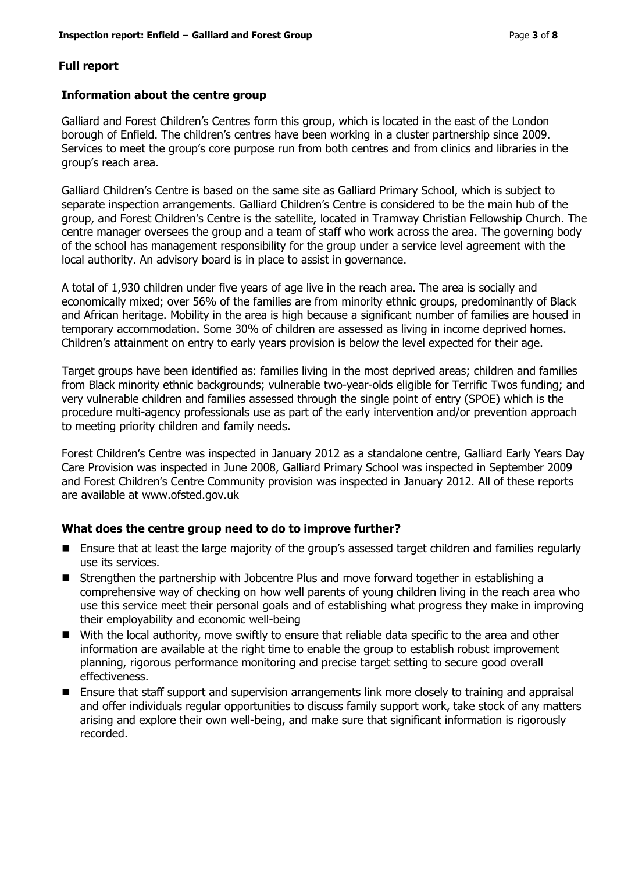### **Full report**

#### **Information about the centre group**

Galliard and Forest Children's Centres form this group, which is located in the east of the London borough of Enfield. The children's centres have been working in a cluster partnership since 2009. Services to meet the group's core purpose run from both centres and from clinics and libraries in the group's reach area.

Galliard Children's Centre is based on the same site as Galliard Primary School, which is subject to separate inspection arrangements. Galliard Children's Centre is considered to be the main hub of the group, and Forest Children's Centre is the satellite, located in Tramway Christian Fellowship Church. The centre manager oversees the group and a team of staff who work across the area. The governing body of the school has management responsibility for the group under a service level agreement with the local authority. An advisory board is in place to assist in governance.

A total of 1,930 children under five years of age live in the reach area. The area is socially and economically mixed; over 56% of the families are from minority ethnic groups, predominantly of Black and African heritage. Mobility in the area is high because a significant number of families are housed in temporary accommodation. Some 30% of children are assessed as living in income deprived homes. Children's attainment on entry to early years provision is below the level expected for their age.

Target groups have been identified as: families living in the most deprived areas; children and families from Black minority ethnic backgrounds; vulnerable two-year-olds eligible for Terrific Twos funding; and very vulnerable children and families assessed through the single point of entry (SPOE) which is the procedure multi-agency professionals use as part of the early intervention and/or prevention approach to meeting priority children and family needs.

Forest Children's Centre was inspected in January 2012 as a standalone centre, Galliard Early Years Day Care Provision was inspected in June 2008, Galliard Primary School was inspected in September 2009 and Forest Children's Centre Community provision was inspected in January 2012. All of these reports are available at www.ofsted.gov.uk

#### **What does the centre group need to do to improve further?**

- Ensure that at least the large majority of the group's assessed target children and families regularly use its services.
- Strengthen the partnership with Jobcentre Plus and move forward together in establishing a comprehensive way of checking on how well parents of young children living in the reach area who use this service meet their personal goals and of establishing what progress they make in improving their employability and economic well-being
- With the local authority, move swiftly to ensure that reliable data specific to the area and other information are available at the right time to enable the group to establish robust improvement planning, rigorous performance monitoring and precise target setting to secure good overall effectiveness.
- **E** Ensure that staff support and supervision arrangements link more closely to training and appraisal and offer individuals regular opportunities to discuss family support work, take stock of any matters arising and explore their own well-being, and make sure that significant information is rigorously recorded.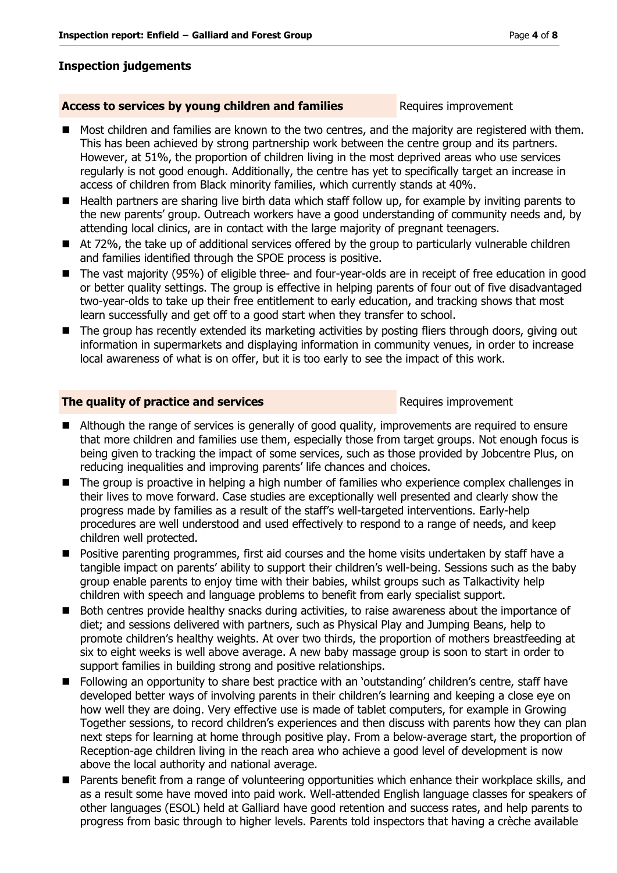### **Inspection judgements**

#### **Access to services by young children and families** Requires improvement

- Most children and families are known to the two centres, and the majority are registered with them. This has been achieved by strong partnership work between the centre group and its partners. However, at 51%, the proportion of children living in the most deprived areas who use services regularly is not good enough. Additionally, the centre has yet to specifically target an increase in access of children from Black minority families, which currently stands at 40%.
- Health partners are sharing live birth data which staff follow up, for example by inviting parents to the new parents' group. Outreach workers have a good understanding of community needs and, by attending local clinics, are in contact with the large majority of pregnant teenagers.
- At 72%, the take up of additional services offered by the group to particularly vulnerable children and families identified through the SPOE process is positive.
- The vast majority (95%) of eligible three- and four-year-olds are in receipt of free education in good or better quality settings. The group is effective in helping parents of four out of five disadvantaged two-year-olds to take up their free entitlement to early education, and tracking shows that most learn successfully and get off to a good start when they transfer to school.
- The group has recently extended its marketing activities by posting fliers through doors, giving out information in supermarkets and displaying information in community venues, in order to increase local awareness of what is on offer, but it is too early to see the impact of this work.

#### **The quality of practice and services** Requires improvement

- Although the range of services is generally of good quality, improvements are required to ensure that more children and families use them, especially those from target groups. Not enough focus is being given to tracking the impact of some services, such as those provided by Jobcentre Plus, on reducing inequalities and improving parents' life chances and choices.
- The group is proactive in helping a high number of families who experience complex challenges in their lives to move forward. Case studies are exceptionally well presented and clearly show the progress made by families as a result of the staff's well-targeted interventions. Early-help procedures are well understood and used effectively to respond to a range of needs, and keep children well protected.
- **Positive parenting programmes, first aid courses and the home visits undertaken by staff have a** tangible impact on parents' ability to support their children's well-being. Sessions such as the baby group enable parents to enjoy time with their babies, whilst groups such as Talkactivity help children with speech and language problems to benefit from early specialist support.
- Both centres provide healthy snacks during activities, to raise awareness about the importance of diet; and sessions delivered with partners, such as Physical Play and Jumping Beans, help to promote children's healthy weights. At over two thirds, the proportion of mothers breastfeeding at six to eight weeks is well above average. A new baby massage group is soon to start in order to support families in building strong and positive relationships.
- Following an opportunity to share best practice with an 'outstanding' children's centre, staff have developed better ways of involving parents in their children's learning and keeping a close eye on how well they are doing. Very effective use is made of tablet computers, for example in Growing Together sessions, to record children's experiences and then discuss with parents how they can plan next steps for learning at home through positive play. From a below-average start, the proportion of Reception-age children living in the reach area who achieve a good level of development is now above the local authority and national average.
- Parents benefit from a range of volunteering opportunities which enhance their workplace skills, and as a result some have moved into paid work. Well-attended English language classes for speakers of other languages (ESOL) held at Galliard have good retention and success rates, and help parents to progress from basic through to higher levels. Parents told inspectors that having a crèche available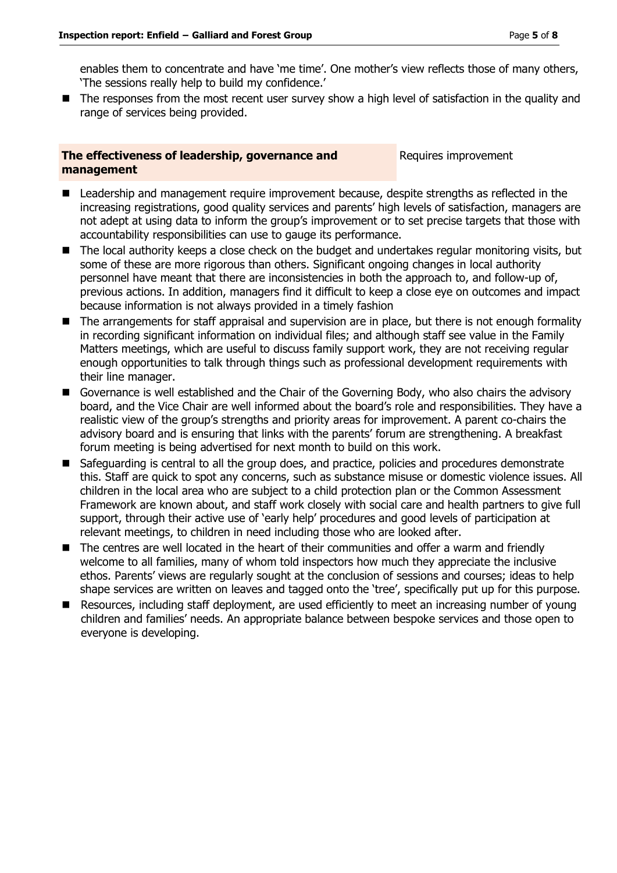enables them to concentrate and have 'me time'. One mother's view reflects those of many others, 'The sessions really help to build my confidence.'

■ The responses from the most recent user survey show a high level of satisfaction in the quality and range of services being provided.

#### **The effectiveness of leadership, governance and management**

Requires improvement

- Leadership and management require improvement because, despite strengths as reflected in the increasing registrations, good quality services and parents' high levels of satisfaction, managers are not adept at using data to inform the group's improvement or to set precise targets that those with accountability responsibilities can use to gauge its performance.
- The local authority keeps a close check on the budget and undertakes regular monitoring visits, but some of these are more rigorous than others. Significant ongoing changes in local authority personnel have meant that there are inconsistencies in both the approach to, and follow-up of, previous actions. In addition, managers find it difficult to keep a close eye on outcomes and impact because information is not always provided in a timely fashion
- The arrangements for staff appraisal and supervision are in place, but there is not enough formality in recording significant information on individual files; and although staff see value in the Family Matters meetings, which are useful to discuss family support work, they are not receiving regular enough opportunities to talk through things such as professional development requirements with their line manager.
- Governance is well established and the Chair of the Governing Body, who also chairs the advisory board, and the Vice Chair are well informed about the board's role and responsibilities. They have a realistic view of the group's strengths and priority areas for improvement. A parent co-chairs the advisory board and is ensuring that links with the parents' forum are strengthening. A breakfast forum meeting is being advertised for next month to build on this work.
- Safeguarding is central to all the group does, and practice, policies and procedures demonstrate this. Staff are quick to spot any concerns, such as substance misuse or domestic violence issues. All children in the local area who are subject to a child protection plan or the Common Assessment Framework are known about, and staff work closely with social care and health partners to give full support, through their active use of 'early help' procedures and good levels of participation at relevant meetings, to children in need including those who are looked after.
- The centres are well located in the heart of their communities and offer a warm and friendly welcome to all families, many of whom told inspectors how much they appreciate the inclusive ethos. Parents' views are regularly sought at the conclusion of sessions and courses; ideas to help shape services are written on leaves and tagged onto the 'tree', specifically put up for this purpose.
- Resources, including staff deployment, are used efficiently to meet an increasing number of young children and families' needs. An appropriate balance between bespoke services and those open to everyone is developing.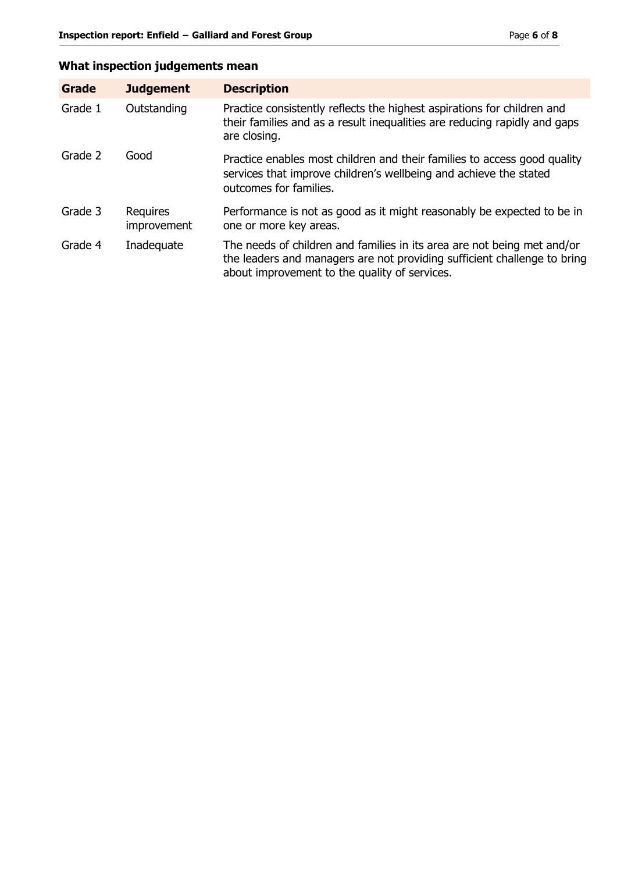# **What inspection judgements mean**

| Grade   | <b>Judgement</b>               | <b>Description</b>                                                                                                                                                                                   |
|---------|--------------------------------|------------------------------------------------------------------------------------------------------------------------------------------------------------------------------------------------------|
| Grade 1 | Outstanding                    | Practice consistently reflects the highest aspirations for children and<br>their families and as a result inequalities are reducing rapidly and gaps<br>are closing.                                 |
| Grade 2 | Good                           | Practice enables most children and their families to access good quality<br>services that improve children's wellbeing and achieve the stated<br>outcomes for families.                              |
| Grade 3 | <b>Requires</b><br>improvement | Performance is not as good as it might reasonably be expected to be in<br>one or more key areas.                                                                                                     |
| Grade 4 | Inadequate                     | The needs of children and families in its area are not being met and/or<br>the leaders and managers are not providing sufficient challenge to bring<br>about improvement to the quality of services. |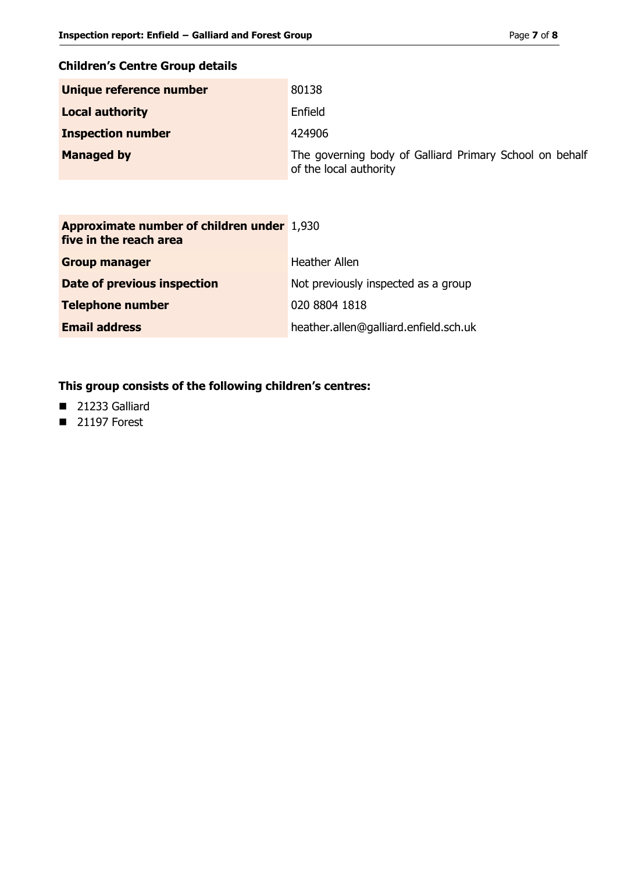# **Children's Centre Group details**

| Unique reference number  | 80138                                                                             |
|--------------------------|-----------------------------------------------------------------------------------|
| <b>Local authority</b>   | Enfield                                                                           |
| <b>Inspection number</b> | 424906                                                                            |
| <b>Managed by</b>        | The governing body of Galliard Primary School on behalf<br>of the local authority |

| <b>Approximate number of children under 1,930</b><br>five in the reach area |                                       |
|-----------------------------------------------------------------------------|---------------------------------------|
| <b>Group manager</b>                                                        | <b>Heather Allen</b>                  |
| Date of previous inspection                                                 | Not previously inspected as a group   |
| <b>Telephone number</b>                                                     | 020 8804 1818                         |
| <b>Email address</b>                                                        | heather.allen@galliard.enfield.sch.uk |

# **This group consists of the following children's centres:**

- 21233 Galliard
- $\blacksquare$  21197 Forest